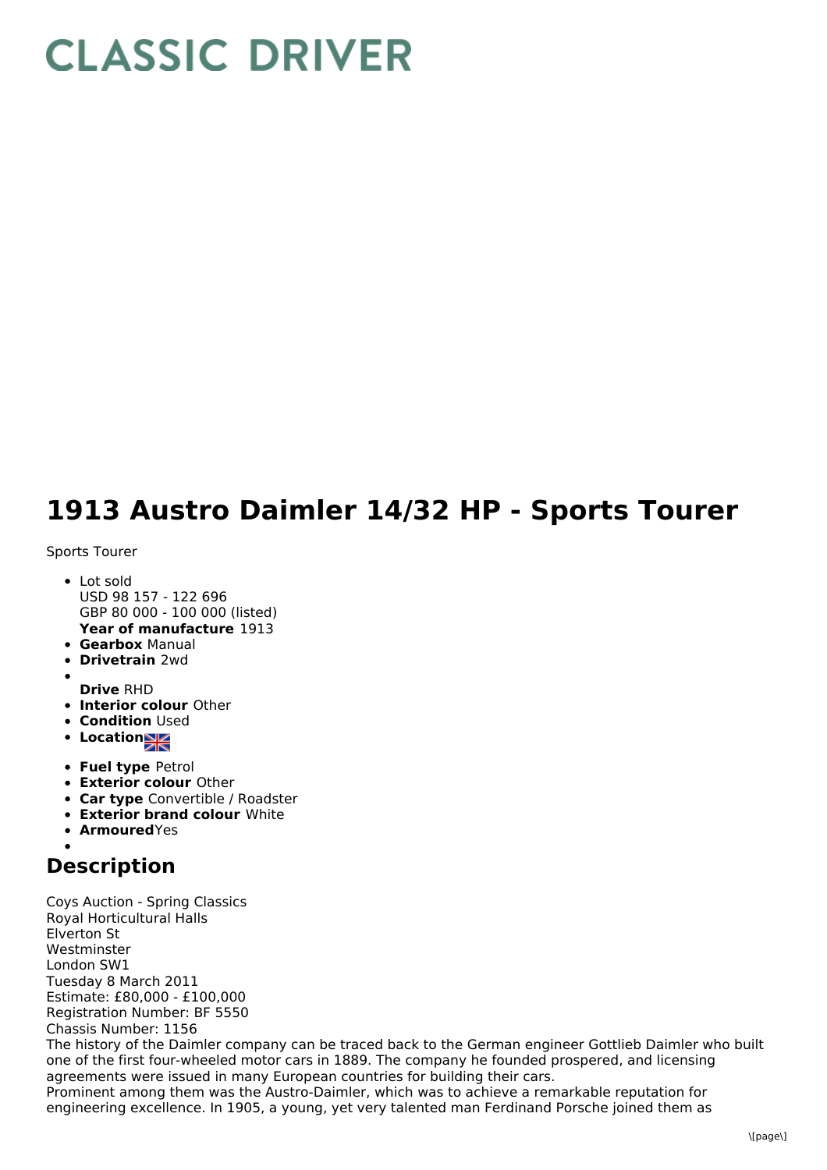## **CLASSIC DRIVER**

## **1913 Austro Daimler 14/32 HP - Sports Tourer**

## Sports Tourer

- **Year of manufacture** 1913 • Lot sold USD 98 157 - 122 696 GBP 80 000 - 100 000 (listed)
- **Gearbox** Manual
- **Drivetrain** 2wd
- 
- **Drive** RHD **Interior colour** Other
- **Condition Used**
- Location
- **Fuel type** Petrol
- **Exterior colour** Other
- **Car type** Convertible / Roadster
- **Exterior brand colour** White
- **Armoured**Yes

## **Description**

Coys Auction - Spring Classics Royal Horticultural Halls Elverton St Westminster London SW1 Tuesday 8 March 2011 Estimate: £80,000 - £100,000 Registration Number: BF 5550 Chassis Number: 1156 The history of the Daimler company can be traced back to the German engineer Gottlieb Daimler who built one of the first four-wheeled motor cars in 1889. The company he founded prospered, and licensing agreements were issued in many European countries for building their cars. Prominent among them was the Austro-Daimler, which was to achieve a remarkable reputation for engineering excellence. In 1905, a young, yet very talented man Ferdinand Porsche joined them as